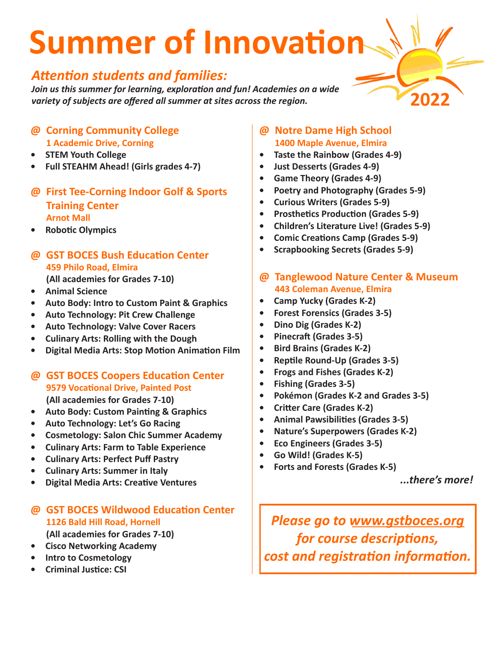# **Summer of Innovation**

### *Attention students and families:*

*Join us this summer for learning, exploration and fun! Academies on a wide variety of subjects are offered all summer at sites across the region.* 

- **@ Corning Community College 1 Academic Drive, Corning**
- **• STEM Youth College**
- **• Full STEAHM Ahead! (Girls grades 4-7)**
- **@ First Tee-Corning Indoor Golf & Sports Training Center Arnot Mall**
- **• Robotic Olympics**
- **@ GST BOCES Bush Education Center 459 Philo Road, Elmira (All academies for Grades 7-10)**
- **• Animal Science**
- **• Auto Body: Intro to Custom Paint & Graphics**
- **• Auto Technology: Pit Crew Challenge**
- **• Auto Technology: Valve Cover Racers**
- **• Culinary Arts: Rolling with the Dough**
- **• Digital Media Arts: Stop Motion Animation Film**
- **@ GST BOCES Coopers Education Center 9579 Vocational Drive, Painted Post (All academies for Grades 7-10)**
- **• Auto Body: Custom Painting & Graphics**
- **• Auto Technology: Let's Go Racing**
- **• Cosmetology: Salon Chic Summer Academy**
- **• Culinary Arts: Farm to Table Experience**
- **• Culinary Arts: Perfect Puff Pastry**
- **• Culinary Arts: Summer in Italy**
- **• Digital Media Arts: Creative Ventures**

### **@ GST BOCES Wildwood Education Center 1126 Bald Hill Road, Hornell**

**(All academies for Grades 7-10)**

- **• Cisco Networking Academy**
- **• Intro to Cosmetology**
- **• Criminal Justice: CSI**
- **@ Notre Dame High School 1400 Maple Avenue, Elmira**
- **• Taste the Rainbow (Grades 4-9)**
- **• Just Desserts (Grades 4-9)**
- **• Game Theory (Grades 4-9)**
- **• Poetry and Photography (Grades 5-9)**
- **• Curious Writers (Grades 5-9)**
- **• Prosthetics Production (Grades 5-9)**
- **• Children's Literature Live! (Grades 5-9)**
- **• Comic Creations Camp (Grades 5-9)**
- **• Scrapbooking Secrets (Grades 5-9)**
- **@ Tanglewood Nature Center & Museum 443 Coleman Avenue, Elmira**
- **• Camp Yucky (Grades K-2)**
- **• Forest Forensics (Grades 3-5)**
- **• Dino Dig (Grades K-2)**
- **• Pinecraft (Grades 3-5)**
- **• Bird Brains (Grades K-2)**
- **• Reptile Round-Up (Grades 3-5)**
- **• Frogs and Fishes (Grades K-2)**
- **• Fishing (Grades 3-5)**
- **• Pokémon (Grades K-2 and Grades 3-5)**
- **• Critter Care (Grades K-2)**
- **• Animal Pawsibilities (Grades 3-5)**
- **• Nature's Superpowers (Grades K-2)**
- **• Eco Engineers (Grades 3-5)**
- **• Go Wild! (Grades K-5)**
- **• Forts and Forests (Grades K-5)**

*...there's more!*

*Please go to www.gstboces.org for course descriptions, cost and registration information.*